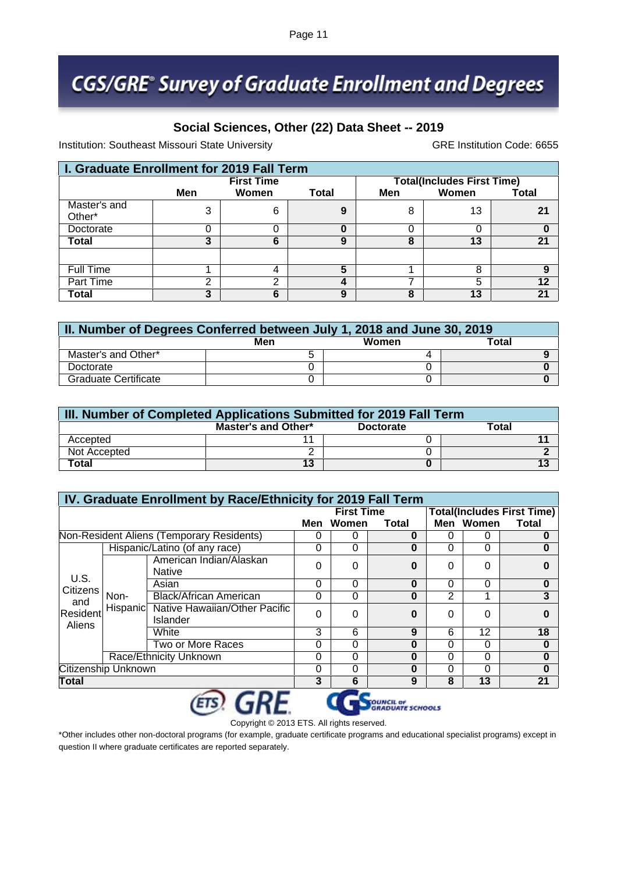### **CGS/GRE® Survey of Graduate Enrollment and Degrees**

#### **Social Sciences, Other (22) Data Sheet -- 2019**

Institution: Southeast Missouri State University GRE Institution Code: 6655

| I. Graduate Enrollment for 2019 Fall Term |     |                   |       |     |                                   |              |  |  |  |
|-------------------------------------------|-----|-------------------|-------|-----|-----------------------------------|--------------|--|--|--|
|                                           |     | <b>First Time</b> |       |     | <b>Total(Includes First Time)</b> |              |  |  |  |
|                                           | Men | Women             | Total | Men | <b>Women</b>                      | <b>Total</b> |  |  |  |
| Master's and<br>Other*                    | 3   | 6                 | 9     | 8   | 13                                | 21           |  |  |  |
| Doctorate                                 |     | ი                 | 0     |     |                                   |              |  |  |  |
| Total                                     | 3   | 6                 | 9     | 8   | 13                                | 21           |  |  |  |
|                                           |     |                   |       |     |                                   |              |  |  |  |
| <b>Full Time</b>                          |     | 4                 | 5     |     | 8                                 | 9            |  |  |  |
| Part Time                                 | っ   | ⌒                 |       |     | 5                                 | 12           |  |  |  |
| Total                                     | 3   | 6                 | 9     | 8   | 13                                | 21           |  |  |  |

| II. Number of Degrees Conferred between July 1, 2018 and June 30, 2019 |     |       |       |  |  |  |  |  |  |
|------------------------------------------------------------------------|-----|-------|-------|--|--|--|--|--|--|
|                                                                        | Men | Women | Total |  |  |  |  |  |  |
| Master's and Other*                                                    |     |       |       |  |  |  |  |  |  |
| Doctorate                                                              |     |       |       |  |  |  |  |  |  |
| <b>Graduate Certificate</b>                                            |     |       |       |  |  |  |  |  |  |

| III. Number of Completed Applications Submitted for 2019 Fall Term |                     |                  |       |  |  |  |  |  |
|--------------------------------------------------------------------|---------------------|------------------|-------|--|--|--|--|--|
|                                                                    | Master's and Other* | <b>Doctorate</b> | Total |  |  |  |  |  |
| Accepted                                                           |                     |                  |       |  |  |  |  |  |
| Not Accepted                                                       |                     |                  |       |  |  |  |  |  |
| Total                                                              |                     |                  |       |  |  |  |  |  |

|                     |                                                        | IV. Graduate Enrollment by Race/Ethnicity for 2019 Fall Term |          |          |          |          |           |              |
|---------------------|--------------------------------------------------------|--------------------------------------------------------------|----------|----------|----------|----------|-----------|--------------|
|                     | <b>Total(Includes First Time)</b><br><b>First Time</b> |                                                              |          |          |          |          |           |              |
|                     |                                                        |                                                              | Men      | Women    | Total    |          | Men Women | <b>Total</b> |
|                     |                                                        | Non-Resident Aliens (Temporary Residents)                    |          | 0        | 0        | 0        | 0         | $\bf{0}$     |
|                     |                                                        | Hispanic/Latino (of any race)                                | $\Omega$ | 0        | 0        | 0        | 0         | 0            |
|                     |                                                        | American Indian/Alaskan<br><b>Native</b>                     | $\Omega$ | 0        | 0        | 0        | 0         |              |
| U.S.<br>Citizens    |                                                        | Asian                                                        | $\Omega$ | $\Omega$ | 0        | 0        | 0         | 0            |
| and                 | Non-                                                   | <b>Black/African American</b>                                | 0        | $\Omega$ | 0        | 2        | 1         | 3            |
| Resident<br>Aliens  |                                                        | Hispanic Native Hawaiian/Other Pacific<br>Islander           | $\Omega$ | $\Omega$ | $\bf{0}$ | $\Omega$ | 0         |              |
|                     |                                                        | White                                                        | 3        | 6        | 9        | 6        | 12        | 18           |
|                     |                                                        | Two or More Races                                            | $\Omega$ | 0        | 0        | 0        | 0         | $\bf{0}$     |
|                     |                                                        | Race/Ethnicity Unknown                                       | 0        | 0        | 0        | 0        | 0         | $\bf{0}$     |
| Citizenship Unknown |                                                        |                                                              | 0        | 0        | O        | 0        | 0         | 0            |
| <b>Total</b>        |                                                        |                                                              | 3        | 6        | 9        | 8        | 13        | 21           |
|                     |                                                        |                                                              |          |          |          |          |           |              |

Copyright © 2013 ETS. All rights reserved. \*Other includes other non-doctoral programs (for example, graduate certificate programs and educational specialist programs) except in question II where graduate certificates are reported separately.

**SQUNCIL OF**<br>GRADUATE SCHOOLS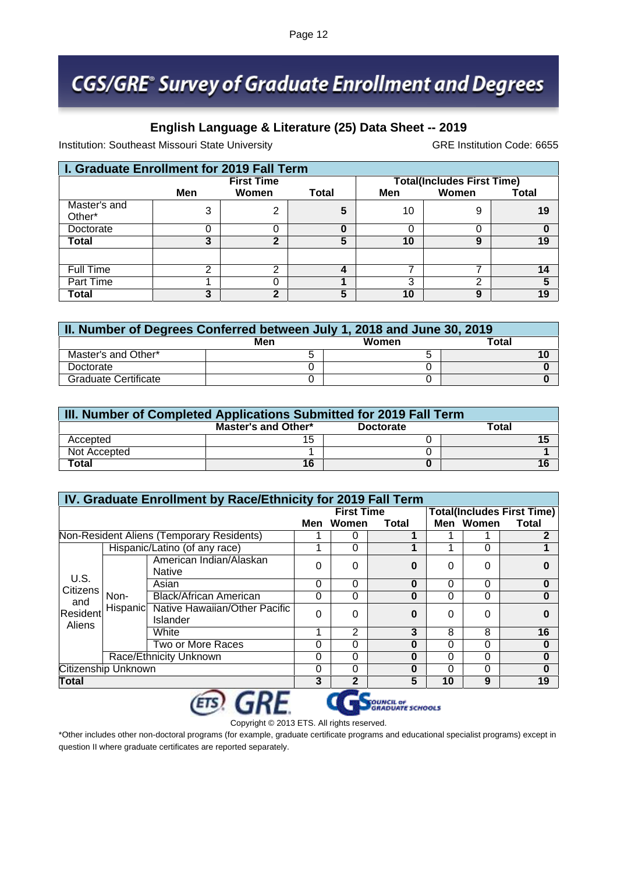#### **English Language & Literature (25) Data Sheet -- 2019**

Institution: Southeast Missouri State University GRE Institution Code: 6655

| I. Graduate Enrollment for 2019 Fall Term |     |                   |       |     |                                   |       |  |  |  |
|-------------------------------------------|-----|-------------------|-------|-----|-----------------------------------|-------|--|--|--|
|                                           |     | <b>First Time</b> |       |     | <b>Total(Includes First Time)</b> |       |  |  |  |
|                                           | Men | Women             | Total | Men | Women                             | Total |  |  |  |
| Master's and<br>Other*                    | 3   | 2                 | 5     | 10  | 9                                 | 19    |  |  |  |
| Doctorate                                 |     |                   | 0     |     |                                   |       |  |  |  |
| Total                                     | 3   | າ                 | 5     | 10  | 9                                 | 19    |  |  |  |
|                                           |     |                   |       |     |                                   |       |  |  |  |
| <b>Full Time</b>                          | າ   | າ                 | 4     |     |                                   | 14    |  |  |  |
| Part Time                                 |     | Ω                 |       | 3   | ົ                                 | 5     |  |  |  |
| Total                                     | 3   | າ                 | 5     | 10  | 9                                 | 19    |  |  |  |

| II. Number of Degrees Conferred between July 1, 2018 and June 30, 2019 |     |       |       |  |  |  |  |  |  |
|------------------------------------------------------------------------|-----|-------|-------|--|--|--|--|--|--|
|                                                                        | Men | Women | Total |  |  |  |  |  |  |
| Master's and Other*                                                    |     |       |       |  |  |  |  |  |  |
| Doctorate                                                              |     |       |       |  |  |  |  |  |  |
| <b>Graduate Certificate</b>                                            |     |       |       |  |  |  |  |  |  |

| III. Number of Completed Applications Submitted for 2019 Fall Term |                     |                  |       |  |  |  |  |  |
|--------------------------------------------------------------------|---------------------|------------------|-------|--|--|--|--|--|
|                                                                    | Master's and Other* | <b>Doctorate</b> | Total |  |  |  |  |  |
| Accepted                                                           | 15                  |                  |       |  |  |  |  |  |
| Not Accepted                                                       |                     |                  |       |  |  |  |  |  |
| Total                                                              | 16                  |                  |       |  |  |  |  |  |

|                     |                                                        | IV. Graduate Enrollment by Race/Ethnicity for 2019 Fall Term |          |                |          |          |           |              |
|---------------------|--------------------------------------------------------|--------------------------------------------------------------|----------|----------------|----------|----------|-----------|--------------|
|                     | <b>Total(Includes First Time)</b><br><b>First Time</b> |                                                              |          |                |          |          |           |              |
|                     |                                                        |                                                              | Men      | Women          | Total    |          | Men Women | <b>Total</b> |
|                     |                                                        | Non-Resident Aliens (Temporary Residents)                    |          | 0              |          |          |           | $\mathbf{2}$ |
|                     |                                                        | Hispanic/Latino (of any race)                                |          | 0              |          | 4        | 0         |              |
|                     |                                                        | American Indian/Alaskan<br><b>Native</b>                     | $\Omega$ | 0              | 0        | 0        | 0         |              |
| U.S.<br>Citizens    |                                                        | Asian                                                        | $\Omega$ | $\Omega$       | 0        | 0        | 0         | $\bf{0}$     |
| and                 | Non-                                                   | <b>Black/African American</b>                                | 0        | $\Omega$       | 0        | 0        | 0         | $\bf{0}$     |
| Resident<br>Aliens  |                                                        | Hispanic Native Hawaiian/Other Pacific<br>Islander           | $\Omega$ | $\Omega$       | $\bf{0}$ | $\Omega$ | 0         |              |
|                     |                                                        | White                                                        |          | $\overline{2}$ | 3        | 8        | 8         | 16           |
|                     |                                                        | Two or More Races                                            | 0        | $\Omega$       | 0        | 0        | 0         | $\bf{0}$     |
|                     |                                                        | Race/Ethnicity Unknown                                       | 0        | 0              | 0        | 0        | 0         | $\bf{0}$     |
| Citizenship Unknown |                                                        |                                                              | 0        | 0              | O        | 0        | 0         | O            |
| Total               |                                                        |                                                              | 3        | $\mathbf{2}$   | 5        | 10       | 9         | 19           |
|                     |                                                        |                                                              |          |                |          |          |           |              |

Copyright © 2013 ETS. All rights reserved. \*Other includes other non-doctoral programs (for example, graduate certificate programs and educational specialist programs) except in question II where graduate certificates are reported separately.

**SOUNCIL OF**<br>GRADUATE SCHOOLS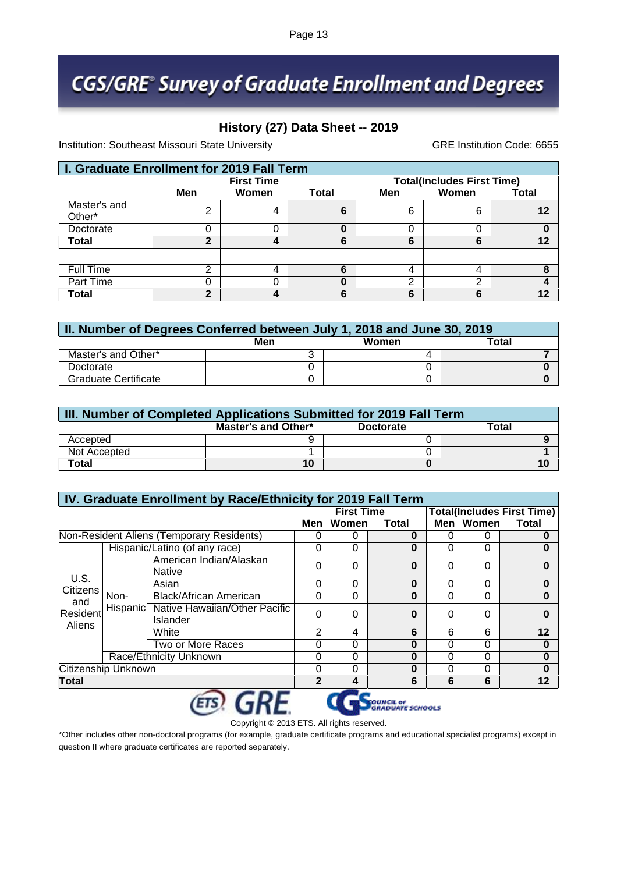#### **History (27) Data Sheet -- 2019**

Institution: Southeast Missouri State University GRE Institution Code: 6655

| I. Graduate Enrollment for 2019 Fall Term |             |                   |       |     |                                   |       |  |  |  |
|-------------------------------------------|-------------|-------------------|-------|-----|-----------------------------------|-------|--|--|--|
|                                           |             | <b>First Time</b> |       |     | <b>Total(Includes First Time)</b> |       |  |  |  |
|                                           | Men         | Women             | Total | Men | Women                             | Total |  |  |  |
| Master's and<br>Other*                    | ◠           | 4                 | 6     | 6   | 6                                 | 12    |  |  |  |
| Doctorate                                 |             |                   | 0     |     |                                   |       |  |  |  |
| Total                                     | $\mathbf 2$ | 4                 | 6     | 6   | 6                                 | 12    |  |  |  |
|                                           |             |                   |       |     |                                   |       |  |  |  |
| <b>Full Time</b>                          | っ           | 4                 | 6     | 4   |                                   | 8     |  |  |  |
| <b>Part Time</b>                          |             |                   | O     | ⌒   | ◠                                 |       |  |  |  |
| Total                                     | າ           | Д                 | 6     | 6   | 6                                 | 12    |  |  |  |

| II. Number of Degrees Conferred between July 1, 2018 and June 30, 2019 |     |       |       |  |  |  |  |  |  |
|------------------------------------------------------------------------|-----|-------|-------|--|--|--|--|--|--|
|                                                                        | Men | Women | Total |  |  |  |  |  |  |
| Master's and Other*                                                    |     |       |       |  |  |  |  |  |  |
| Doctorate                                                              |     |       |       |  |  |  |  |  |  |
| <b>Graduate Certificate</b>                                            |     |       |       |  |  |  |  |  |  |

| III. Number of Completed Applications Submitted for 2019 Fall Term |                     |                  |       |  |  |  |  |  |
|--------------------------------------------------------------------|---------------------|------------------|-------|--|--|--|--|--|
|                                                                    | Master's and Other* | <b>Doctorate</b> | Total |  |  |  |  |  |
| Accepted                                                           |                     |                  |       |  |  |  |  |  |
| Not Accepted                                                       |                     |                  |       |  |  |  |  |  |
| Total                                                              | 10                  |                  |       |  |  |  |  |  |

|                     |                                                        | IV. Graduate Enrollment by Race/Ethnicity for 2019 Fall Term |              |          |          |          |           |              |
|---------------------|--------------------------------------------------------|--------------------------------------------------------------|--------------|----------|----------|----------|-----------|--------------|
|                     | <b>Total(Includes First Time)</b><br><b>First Time</b> |                                                              |              |          |          |          |           |              |
|                     |                                                        |                                                              | Men          | Women    | Total    |          | Men Women | <b>Total</b> |
|                     |                                                        | Non-Resident Aliens (Temporary Residents)                    |              | 0        | 0        | 0        | 0         | $\bf{0}$     |
|                     |                                                        | Hispanic/Latino (of any race)                                | $\Omega$     | 0        | 0        | 0        | 0         | 0            |
|                     |                                                        | American Indian/Alaskan<br><b>Native</b>                     | $\Omega$     | 0        | 0        | 0        | 0         |              |
| U.S.<br>Citizens    |                                                        | Asian                                                        | $\Omega$     | $\Omega$ | 0        | 0        | 0         | $\bf{0}$     |
| and                 | Non-                                                   | <b>Black/African American</b>                                | 0            | $\Omega$ | 0        | 0        | 0         | $\bf{0}$     |
| Resident<br>Aliens  |                                                        | Hispanic Native Hawaiian/Other Pacific<br>Islander           | $\Omega$     | $\Omega$ | $\bf{0}$ | $\Omega$ | 0         |              |
|                     |                                                        | White                                                        | 2            | 4        | 6        | 6        | 6         | 12           |
|                     |                                                        | Two or More Races                                            | $\Omega$     | 0        | 0        | 0        | 0         | $\bf{0}$     |
|                     |                                                        | Race/Ethnicity Unknown                                       | 0            | 0        | 0        | 0        | 0         | $\bf{0}$     |
| Citizenship Unknown |                                                        |                                                              | $\Omega$     | 0        | O        | 0        | 0         | 0            |
| Total               |                                                        |                                                              | $\mathbf{2}$ | 4        | 6        | 6        | 6         | 12           |
|                     |                                                        |                                                              |              |          |          |          |           |              |

Copyright © 2013 ETS. All rights reserved. \*Other includes other non-doctoral programs (for example, graduate certificate programs and educational specialist programs) except in question II where graduate certificates are reported separately.

**SQUNCIL OF**<br>GRADUATE SCHOOLS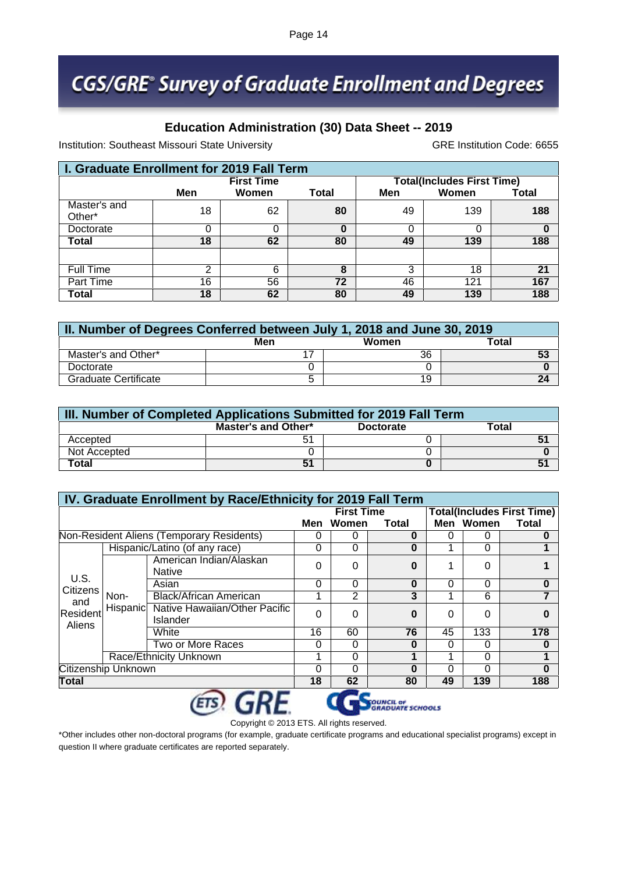#### **Education Administration (30) Data Sheet -- 2019**

Institution: Southeast Missouri State University GRE Institution Code: 6655

| I. Graduate Enrollment for 2019 Fall Term |     |                   |       |     |                                   |       |  |  |  |
|-------------------------------------------|-----|-------------------|-------|-----|-----------------------------------|-------|--|--|--|
|                                           |     | <b>First Time</b> |       |     | <b>Total(Includes First Time)</b> |       |  |  |  |
|                                           | Men | Women             | Total | Men | Women                             | Total |  |  |  |
| Master's and<br>Other*                    | 18  | 62                | 80    | 49  | 139                               | 188   |  |  |  |
| Doctorate                                 | 0   | 0                 | 0     |     |                                   | 0     |  |  |  |
| Total                                     | 18  | 62                | 80    | 49  | 139                               | 188   |  |  |  |
|                                           |     |                   |       |     |                                   |       |  |  |  |
| <b>Full Time</b>                          | 2   | 6                 | 8     | 3   | 18                                | 21    |  |  |  |
| Part Time                                 | 16  | 56                | 72    | 46  | 121                               | 167   |  |  |  |
| Total                                     | 18  | 62                | 80    | 49  | 139                               | 188   |  |  |  |

| II. Number of Degrees Conferred between July 1, 2018 and June 30, 2019 |     |       |       |  |  |  |  |  |  |
|------------------------------------------------------------------------|-----|-------|-------|--|--|--|--|--|--|
|                                                                        | Men | Women | Total |  |  |  |  |  |  |
| Master's and Other*                                                    |     | 36    |       |  |  |  |  |  |  |
| Doctorate                                                              |     |       |       |  |  |  |  |  |  |
| <b>Graduate Certificate</b>                                            |     | 19    |       |  |  |  |  |  |  |

| III. Number of Completed Applications Submitted for 2019 Fall Term |  |  |  |  |  |  |  |  |  |
|--------------------------------------------------------------------|--|--|--|--|--|--|--|--|--|
| Total<br>Master's and Other*<br><b>Doctorate</b>                   |  |  |  |  |  |  |  |  |  |
| Accepted                                                           |  |  |  |  |  |  |  |  |  |
| Not Accepted                                                       |  |  |  |  |  |  |  |  |  |
| Total                                                              |  |  |  |  |  |  |  |  |  |

|                          | IV. Graduate Enrollment by Race/Ethnicity for 2019 Fall Term |                                                    |          |                |          |    |                                             |              |  |  |
|--------------------------|--------------------------------------------------------------|----------------------------------------------------|----------|----------------|----------|----|---------------------------------------------|--------------|--|--|
| <b>First Time</b>        |                                                              |                                                    |          |                |          |    | <b>Total(Includes First Time)</b>           |              |  |  |
|                          |                                                              |                                                    | Men      | Women          | Total    |    |                                             | <b>Total</b> |  |  |
|                          |                                                              | Non-Resident Aliens (Temporary Residents)          |          | 0              | 0        | 0  | 0                                           | $\bf{0}$     |  |  |
|                          |                                                              | Hispanic/Latino (of any race)                      | $\Omega$ | 0              | 0        | 4  | 0                                           |              |  |  |
|                          |                                                              | American Indian/Alaskan<br><b>Native</b>           | $\Omega$ | 0              | 0        | 1  | 0                                           |              |  |  |
| U.S.<br>Citizens         |                                                              | Asian                                              | $\Omega$ | $\Omega$       | 0        | 0  | 0                                           | $\bf{0}$     |  |  |
| and                      | Non-                                                         | <b>Black/African American</b>                      |          | $\overline{2}$ | 3        | 4  | 6                                           |              |  |  |
| Resident<br>Aliens       |                                                              | Hispanic Native Hawaiian/Other Pacific<br>Islander | $\Omega$ | $\Omega$       | $\bf{0}$ | 0  | Men Women<br>0<br>133<br>0<br>0<br>0<br>139 |              |  |  |
|                          |                                                              | White                                              | 16       | 60             | 76       | 45 |                                             | 178          |  |  |
|                          |                                                              | Two or More Races                                  | 0        | $\Omega$       | O        | 0  |                                             | $\bf{0}$     |  |  |
|                          | Race/Ethnicity Unknown                                       |                                                    |          | 0              |          | 4  |                                             |              |  |  |
| Citizenship Unknown<br>0 |                                                              |                                                    | 0        | 0              |          | O  |                                             |              |  |  |
| Total                    |                                                              |                                                    | 18       | 62             | 80       | 49 |                                             | 188          |  |  |
|                          |                                                              |                                                    |          |                |          |    |                                             |              |  |  |

Copyright © 2013 ETS. All rights reserved. \*Other includes other non-doctoral programs (for example, graduate certificate programs and educational specialist programs) except in question II where graduate certificates are reported separately.

**SQUNCIL OF**<br>GRADUATE SCHOOLS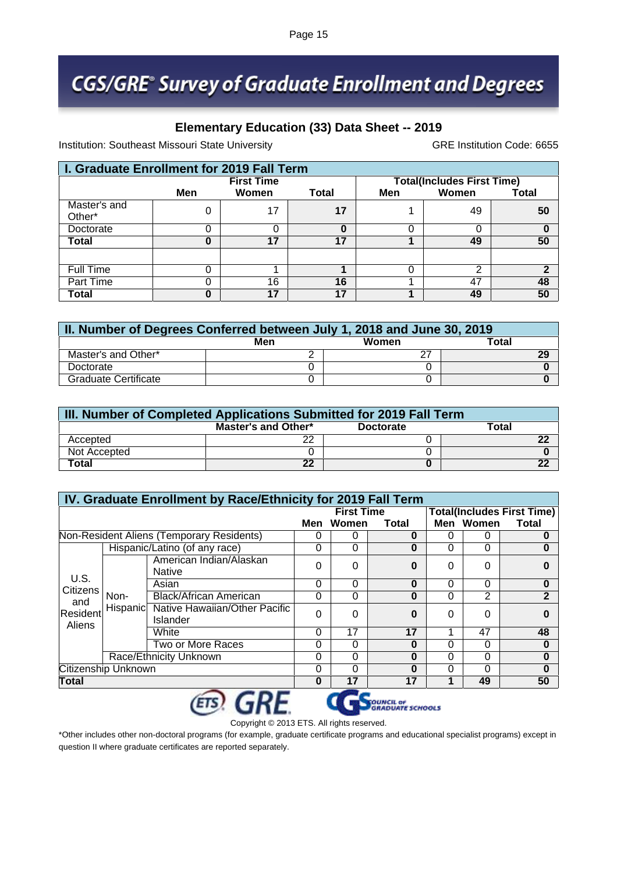#### **Elementary Education (33) Data Sheet -- 2019**

Institution: Southeast Missouri State University GRE Institution Code: 6655

| I. Graduate Enrollment for 2019 Fall Term |     |                   |       |     |                                   |       |  |  |  |  |
|-------------------------------------------|-----|-------------------|-------|-----|-----------------------------------|-------|--|--|--|--|
|                                           |     | <b>First Time</b> |       |     | <b>Total(Includes First Time)</b> |       |  |  |  |  |
|                                           | Men | Women             | Total | Men | Women                             | Total |  |  |  |  |
| Master's and<br>Other*                    | 0   | 17                | 17    |     | 49                                | 50    |  |  |  |  |
| Doctorate                                 | 0   | 0                 | 0     |     |                                   |       |  |  |  |  |
| Total                                     | 0   | 17                | 17    |     | 49                                | 50    |  |  |  |  |
|                                           |     |                   |       |     |                                   |       |  |  |  |  |
| <b>Full Time</b>                          | 0   |                   |       |     | ⌒                                 | ◠     |  |  |  |  |
| Part Time                                 | 0   | 16                | 16    |     | 47                                | 48    |  |  |  |  |
| Total                                     | Ω   | 17                | 17    |     | 49                                | 50    |  |  |  |  |

| II. Number of Degrees Conferred between July 1, 2018 and June 30, 2019 |     |              |       |  |  |  |  |  |  |
|------------------------------------------------------------------------|-----|--------------|-------|--|--|--|--|--|--|
|                                                                        | Men | <b>Women</b> | Total |  |  |  |  |  |  |
| Master's and Other*                                                    |     |              |       |  |  |  |  |  |  |
| Doctorate                                                              |     |              |       |  |  |  |  |  |  |
| <b>Graduate Certificate</b>                                            |     |              |       |  |  |  |  |  |  |

| III. Number of Completed Applications Submitted for 2019 Fall Term |    |  |    |  |  |  |  |  |  |
|--------------------------------------------------------------------|----|--|----|--|--|--|--|--|--|
| Total<br>Master's and Other*<br><b>Doctorate</b>                   |    |  |    |  |  |  |  |  |  |
| Accepted                                                           | າາ |  | 22 |  |  |  |  |  |  |
| Not Accepted                                                       |    |  |    |  |  |  |  |  |  |
| Total                                                              | 22 |  | 22 |  |  |  |  |  |  |

|                     |                        | IV. Graduate Enrollment by Race/Ethnicity for 2019 Fall Term |          |          |       |   |                                   |              |  |
|---------------------|------------------------|--------------------------------------------------------------|----------|----------|-------|---|-----------------------------------|--------------|--|
|                     | <b>First Time</b>      |                                                              |          |          |       |   | <b>Total(Includes First Time)</b> |              |  |
|                     |                        |                                                              | Men      | Women    | Total |   | Men Women                         | <b>Total</b> |  |
|                     |                        | Non-Resident Aliens (Temporary Residents)                    |          | 0        | 0     | 0 | 0                                 | $\bf{0}$     |  |
|                     |                        | Hispanic/Latino (of any race)                                | $\Omega$ | 0        | 0     | 0 | 0                                 | 0            |  |
|                     |                        | American Indian/Alaskan<br><b>Native</b>                     | $\Omega$ | 0        | 0     | 0 | 0                                 |              |  |
| U.S.<br>Citizens    |                        | Asian                                                        | $\Omega$ | $\Omega$ | 0     | 0 | $\Omega$                          | $\bf{0}$     |  |
| and                 | Non-                   | <b>Black/African American</b>                                | 0        | 0        | 0     | 0 | $\overline{2}$                    | $\mathbf{2}$ |  |
| Resident<br>Aliens  |                        | Hispanic Native Hawaiian/Other Pacific<br>Islander           | 0        | 0        | 0     | 0 | 0<br>47<br>0<br>0<br>0<br>49      |              |  |
|                     |                        | White                                                        | $\Omega$ | 17       | 17    |   |                                   | 48           |  |
|                     |                        | <b>Two or More Races</b>                                     | 0        | 0        | 0     | 0 |                                   | $\bf{0}$     |  |
|                     | Race/Ethnicity Unknown |                                                              | 0        | 0        | O     | 0 |                                   | 0            |  |
| Citizenship Unknown |                        | 0<br>0<br>0<br>0                                             |          | $\bf{0}$ |       |   |                                   |              |  |
| Total               |                        |                                                              | $\bf{0}$ | 17       | 17    | 1 |                                   | 50           |  |

Copyright © 2013 ETS. All rights reserved. \*Other includes other non-doctoral programs (for example, graduate certificate programs and educational specialist programs) except in question II where graduate certificates are reported separately.

**SOUNCIL OF**<br>GRADUATE SCHOOLS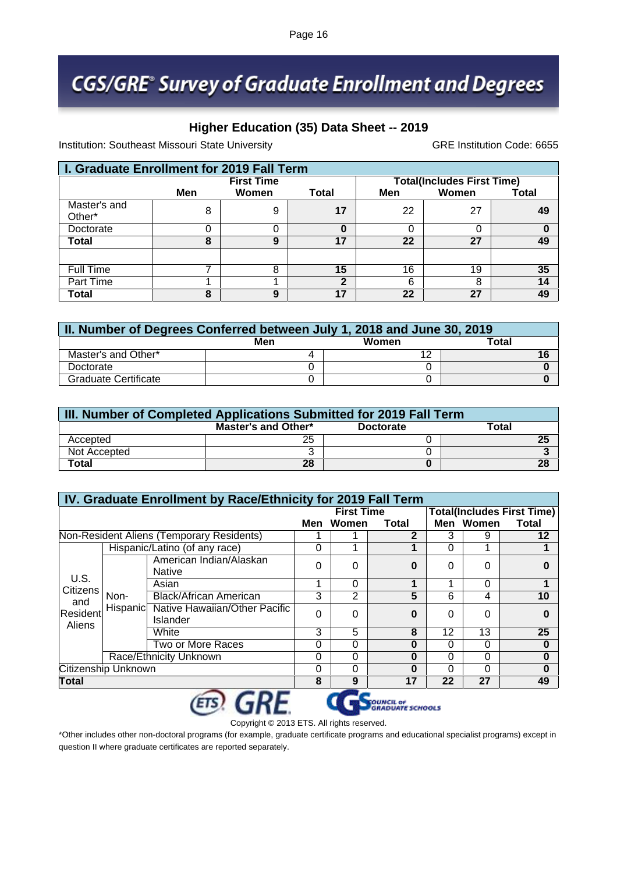### **CGS/GRE® Survey of Graduate Enrollment and Degrees**

#### **Higher Education (35) Data Sheet -- 2019**

Institution: Southeast Missouri State University GRE Institution Code: 6655

| I. Graduate Enrollment for 2019 Fall Term |     |                   |              |     |                                   |       |  |  |  |  |
|-------------------------------------------|-----|-------------------|--------------|-----|-----------------------------------|-------|--|--|--|--|
|                                           |     | <b>First Time</b> |              |     | <b>Total(Includes First Time)</b> |       |  |  |  |  |
|                                           | Men | Women             | Total        | Men | Women                             | Total |  |  |  |  |
| Master's and<br>Other*                    | 8   | 9                 | 17           | 22  | 27                                | 49    |  |  |  |  |
| Doctorate                                 |     | 0                 | 0            | 0   |                                   |       |  |  |  |  |
| Total                                     | 8   | 9                 | 17           | 22  | 27                                | 49    |  |  |  |  |
|                                           |     |                   |              |     |                                   |       |  |  |  |  |
| <b>Full Time</b>                          | ⇁   | 8                 | 15           | 16  | 19                                | 35    |  |  |  |  |
| <b>Part Time</b>                          |     |                   | $\mathbf{2}$ | 6   | 8                                 | 14    |  |  |  |  |
| Total                                     | 8   | 9                 | 17           | 22  | 27                                | 49    |  |  |  |  |

| II. Number of Degrees Conferred between July 1, 2018 and June 30, 2019 |     |              |       |  |  |  |  |  |  |
|------------------------------------------------------------------------|-----|--------------|-------|--|--|--|--|--|--|
|                                                                        | Men | <b>Women</b> | Total |  |  |  |  |  |  |
| Master's and Other*                                                    |     |              |       |  |  |  |  |  |  |
| Doctorate                                                              |     |              |       |  |  |  |  |  |  |
| <b>Graduate Certificate</b>                                            |     |              |       |  |  |  |  |  |  |

| III. Number of Completed Applications Submitted for 2019 Fall Term |    |  |    |  |  |  |  |  |
|--------------------------------------------------------------------|----|--|----|--|--|--|--|--|
| Total<br>Master's and Other*<br><b>Doctorate</b>                   |    |  |    |  |  |  |  |  |
| Accepted                                                           | 25 |  | 25 |  |  |  |  |  |
| Not Accepted                                                       |    |  |    |  |  |  |  |  |
| Total                                                              | 28 |  | 28 |  |  |  |  |  |

|                     | IV. Graduate Enrollment by Race/Ethnicity for 2019 Fall Term |                                                    |          |                |          |          |                                   |              |  |  |
|---------------------|--------------------------------------------------------------|----------------------------------------------------|----------|----------------|----------|----------|-----------------------------------|--------------|--|--|
| <b>First Time</b>   |                                                              |                                                    |          |                |          |          | <b>Total(Includes First Time)</b> |              |  |  |
|                     |                                                              |                                                    | Men      | Women          | Total    |          | Men Women                         | <b>Total</b> |  |  |
|                     |                                                              | Non-Resident Aliens (Temporary Residents)          |          |                | 2        | 3        | 9                                 | 12           |  |  |
|                     |                                                              | Hispanic/Latino (of any race)                      | $\Omega$ |                |          | 0        | 4                                 |              |  |  |
|                     |                                                              | American Indian/Alaskan<br><b>Native</b>           | $\Omega$ | 0              | 0        | 0        | 0                                 |              |  |  |
| U.S.<br>Citizens    |                                                              | Asian                                              |          | $\Omega$       |          | 4        | 0                                 |              |  |  |
| and                 | Non-                                                         | <b>Black/African American</b>                      | 3        | $\overline{2}$ | 5        | 6        | 4                                 | 10           |  |  |
| Resident<br>Aliens  |                                                              | Hispanic Native Hawaiian/Other Pacific<br>Islander | $\Omega$ | $\Omega$       | $\bf{0}$ | $\Omega$ | 0                                 | $\Omega$     |  |  |
|                     |                                                              | White                                              | 3        | 5              | 8        | 12       | 13                                | 25           |  |  |
|                     |                                                              | Two or More Races                                  | $\Omega$ | 0              | 0        | 0        | 0                                 | $\bf{0}$     |  |  |
|                     | Race/Ethnicity Unknown                                       |                                                    | 0        | 0              | 0        | 0        | 0                                 | $\bf{0}$     |  |  |
| Citizenship Unknown |                                                              |                                                    | 0        | 0              | 0        | 0        | 0                                 | 0            |  |  |
| <b>Total</b>        |                                                              |                                                    | 8        | 9              | 17       | 22       | 27                                | 49           |  |  |
|                     |                                                              |                                                    |          |                |          |          |                                   |              |  |  |

Copyright © 2013 ETS. All rights reserved. \*Other includes other non-doctoral programs (for example, graduate certificate programs and educational specialist programs) except in question II where graduate certificates are reported separately.

**SOUNCIL OF**<br>GRADUATE SCHOOLS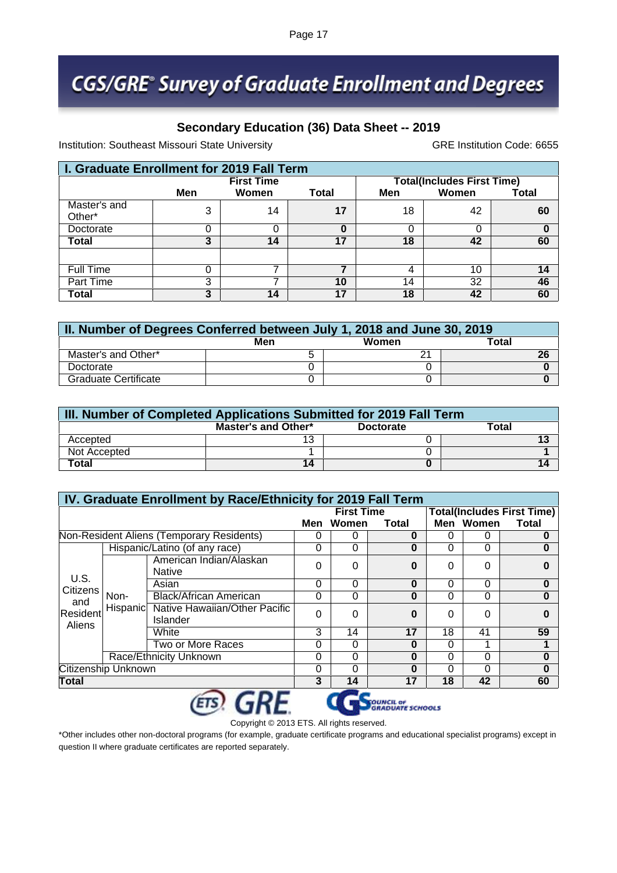#### **Secondary Education (36) Data Sheet -- 2019**

Institution: Southeast Missouri State University GRE Institution Code: 6655

| I. Graduate Enrollment for 2019 Fall Term |     |                   |       |     |                                   |       |  |  |  |  |
|-------------------------------------------|-----|-------------------|-------|-----|-----------------------------------|-------|--|--|--|--|
|                                           |     | <b>First Time</b> |       |     | <b>Total(Includes First Time)</b> |       |  |  |  |  |
|                                           | Men | Women             | Total | Men | Women                             | Total |  |  |  |  |
| Master's and<br>Other*                    | 3   | 14                | 17    | 18  | 42                                | 60    |  |  |  |  |
| Doctorate                                 | 0   | Ω                 | 0     |     |                                   |       |  |  |  |  |
| Total                                     | 3   | 14                | 17    | 18  | 42                                | 60    |  |  |  |  |
|                                           |     |                   |       |     |                                   |       |  |  |  |  |
| <b>Full Time</b>                          | 0   | ⇁                 | ⇁     | 4   | 10                                | 14    |  |  |  |  |
| Part Time                                 | 3   |                   | 10    | 14  | 32                                | 46    |  |  |  |  |
| Total                                     | 3   | 14                | 17    | 18  | 42                                | 60    |  |  |  |  |

| II. Number of Degrees Conferred between July 1, 2018 and June 30, 2019 |     |              |       |  |  |  |  |  |  |
|------------------------------------------------------------------------|-----|--------------|-------|--|--|--|--|--|--|
|                                                                        | Men | <b>Women</b> | Total |  |  |  |  |  |  |
| Master's and Other*                                                    |     |              |       |  |  |  |  |  |  |
| Doctorate                                                              |     |              |       |  |  |  |  |  |  |
| <b>Graduate Certificate</b>                                            |     |              |       |  |  |  |  |  |  |

| III. Number of Completed Applications Submitted for 2019 Fall Term |                     |                  |       |  |  |  |  |  |
|--------------------------------------------------------------------|---------------------|------------------|-------|--|--|--|--|--|
|                                                                    | Master's and Other* | <b>Doctorate</b> | Total |  |  |  |  |  |
| Accepted                                                           |                     |                  |       |  |  |  |  |  |
| Not Accepted                                                       |                     |                  |       |  |  |  |  |  |
| Total                                                              | 14                  |                  |       |  |  |  |  |  |

|                     | IV. Graduate Enrollment by Race/Ethnicity for 2019 Fall Term |                                                    |          |                   |       |    |           |                                   |  |  |
|---------------------|--------------------------------------------------------------|----------------------------------------------------|----------|-------------------|-------|----|-----------|-----------------------------------|--|--|
|                     |                                                              |                                                    |          | <b>First Time</b> |       |    |           | <b>Total(Includes First Time)</b> |  |  |
|                     |                                                              |                                                    | Men      | Women             | Total |    | Men Women | <b>Total</b>                      |  |  |
|                     |                                                              | Non-Resident Aliens (Temporary Residents)          | O        | 0                 | 0     | 0  | 0         | $\bf{0}$                          |  |  |
|                     |                                                              | Hispanic/Latino (of any race)                      | $\Omega$ | 0                 | 0     | 0  | 0         | 0                                 |  |  |
|                     |                                                              | American Indian/Alaskan<br><b>Native</b>           | $\Omega$ | 0                 | 0     | 0  | 0         |                                   |  |  |
| U.S.<br>Citizens    |                                                              | Asian                                              | $\Omega$ | $\Omega$          | 0     | 0  | 0         | $\bf{0}$                          |  |  |
| and                 | Non-                                                         | <b>Black/African American</b>                      | 0        | 0                 | 0     | 0  | 0         | $\Omega$                          |  |  |
| Resident<br>Aliens  |                                                              | Hispanic Native Hawaiian/Other Pacific<br>Islander | 0        | 0                 | 0     | 0  | 0         |                                   |  |  |
|                     |                                                              | White                                              | 3        | 14                | 17    | 18 | 41        | 59                                |  |  |
|                     |                                                              | Two or More Races                                  | $\Omega$ | 0                 | 0     | 0  | 1         |                                   |  |  |
|                     |                                                              | Race/Ethnicity Unknown                             | $\Omega$ | 0                 | O     | 0  | 0         | 0                                 |  |  |
| Citizenship Unknown |                                                              |                                                    | $\Omega$ | 0                 | 0     | 0  | 0         | $\bf{0}$                          |  |  |
| Total               |                                                              |                                                    | 3        | 14                | 17    | 18 | 42        | 60                                |  |  |

**ETS** GRE Copyright © 2013 ETS. All rights reserved.

\*Other includes other non-doctoral programs (for example, graduate certificate programs and educational specialist programs) except in question II where graduate certificates are reported separately.

SQUINCIL OF<br>CRADUATE SCHOOLS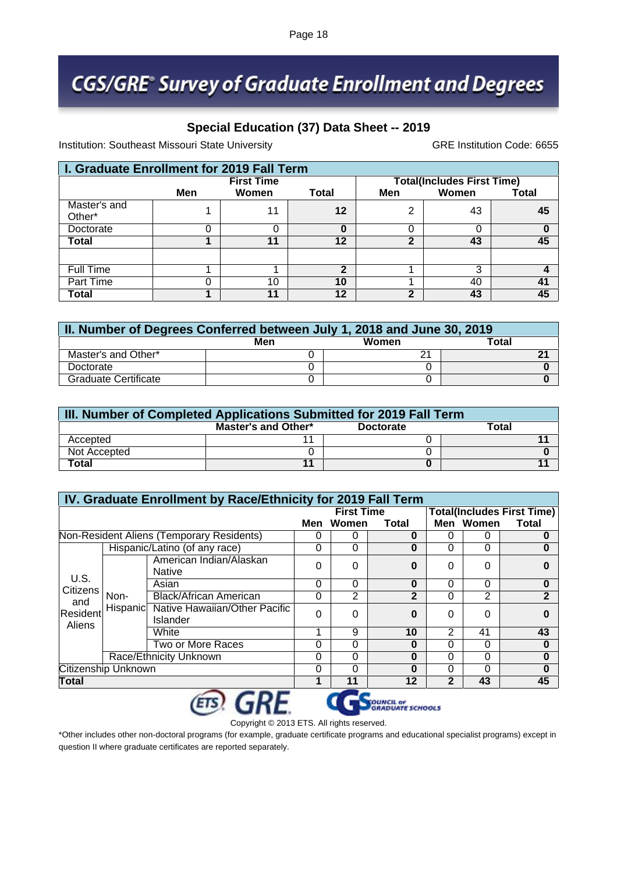### **CGS/GRE® Survey of Graduate Enrollment and Degrees**

#### **Special Education (37) Data Sheet -- 2019**

Institution: Southeast Missouri State University GRE Institution Code: 6655

| I. Graduate Enrollment for 2019 Fall Term |     |                   |       |     |                                   |       |  |  |  |
|-------------------------------------------|-----|-------------------|-------|-----|-----------------------------------|-------|--|--|--|
|                                           |     | <b>First Time</b> |       |     | <b>Total(Includes First Time)</b> |       |  |  |  |
|                                           | Men | Women             | Total | Men | Women                             | Total |  |  |  |
| Master's and<br>Other*                    |     | 11                | 12    | 2   | 43                                | 45    |  |  |  |
| Doctorate                                 | ი   | Ω                 | 0     |     |                                   |       |  |  |  |
| Total                                     |     | 11                | 12    | າ   | 43                                | 45    |  |  |  |
|                                           |     |                   |       |     |                                   |       |  |  |  |
| <b>Full Time</b>                          |     |                   | າ     |     | 3                                 |       |  |  |  |
| <b>Part Time</b>                          | 0   | 10                | 10    |     | 40                                | 41    |  |  |  |
| Total                                     |     | 11                | 12    | ◠   | 43                                | 45    |  |  |  |

| II. Number of Degrees Conferred between July 1, 2018 and June 30, 2019 |     |       |       |  |  |  |  |  |
|------------------------------------------------------------------------|-----|-------|-------|--|--|--|--|--|
|                                                                        | Men | Women | Total |  |  |  |  |  |
| Master's and Other*                                                    |     |       |       |  |  |  |  |  |
| Doctorate                                                              |     |       |       |  |  |  |  |  |
| <b>Graduate Certificate</b>                                            |     |       |       |  |  |  |  |  |

| III. Number of Completed Applications Submitted for 2019 Fall Term |                     |                  |       |  |  |  |  |  |
|--------------------------------------------------------------------|---------------------|------------------|-------|--|--|--|--|--|
|                                                                    | Master's and Other* | <b>Doctorate</b> | Total |  |  |  |  |  |
| Accepted                                                           |                     |                  |       |  |  |  |  |  |
| Not Accepted                                                       |                     |                  |       |  |  |  |  |  |
| Total                                                              |                     |                  |       |  |  |  |  |  |

|                     | IV. Graduate Enrollment by Race/Ethnicity for 2019 Fall Term |                                                    |                                                        |          |              |             |           |              |  |  |
|---------------------|--------------------------------------------------------------|----------------------------------------------------|--------------------------------------------------------|----------|--------------|-------------|-----------|--------------|--|--|
|                     |                                                              |                                                    | <b>Total(Includes First Time)</b><br><b>First Time</b> |          |              |             |           |              |  |  |
|                     |                                                              |                                                    | Men                                                    | Women    | Total        |             | Men Women | <b>Total</b> |  |  |
|                     |                                                              | Non-Resident Aliens (Temporary Residents)          | O                                                      | 0        | 0            | 0           | 0         | $\bf{0}$     |  |  |
|                     |                                                              | Hispanic/Latino (of any race)                      | $\Omega$                                               | 0        | 0            | 0           | 0         | 0            |  |  |
|                     |                                                              | American Indian/Alaskan<br><b>Native</b>           | $\Omega$                                               | 0        | 0            | 0           | 0         |              |  |  |
| U.S.<br>Citizens    |                                                              | Asian                                              | $\Omega$                                               | $\Omega$ | 0            | 0<br>0      | $\bf{0}$  |              |  |  |
| and                 | Non-                                                         | <b>Black/African American</b>                      | 0                                                      | 2        | $\mathbf{2}$ | 0           | 2         | $\mathbf{2}$ |  |  |
| Resident<br>Aliens  |                                                              | Hispanic Native Hawaiian/Other Pacific<br>Islander | 0                                                      | 0        | 0            | 0           | 0         |              |  |  |
|                     |                                                              | White                                              |                                                        | 9        | 10           | 2           | 41        | 43           |  |  |
|                     |                                                              | Two or More Races                                  | $\Omega$                                               | 0        | 0            | 0           | 0         | $\bf{0}$     |  |  |
|                     |                                                              | Race/Ethnicity Unknown                             | 0                                                      | 0        | O            | 0           | 0         | $\bf{0}$     |  |  |
| Citizenship Unknown |                                                              |                                                    | $\Omega$                                               | 0        | 0            | 0           | 0         | $\bf{0}$     |  |  |
| Total               |                                                              |                                                    |                                                        | 11       | $12 \,$      | $\mathbf 2$ | 43        | 45           |  |  |

Copyright © 2013 ETS. All rights reserved. \*Other includes other non-doctoral programs (for example, graduate certificate programs and educational specialist programs) except in question II where graduate certificates are reported separately.

SQUINCIL OF<br>CRADUATE SCHOOLS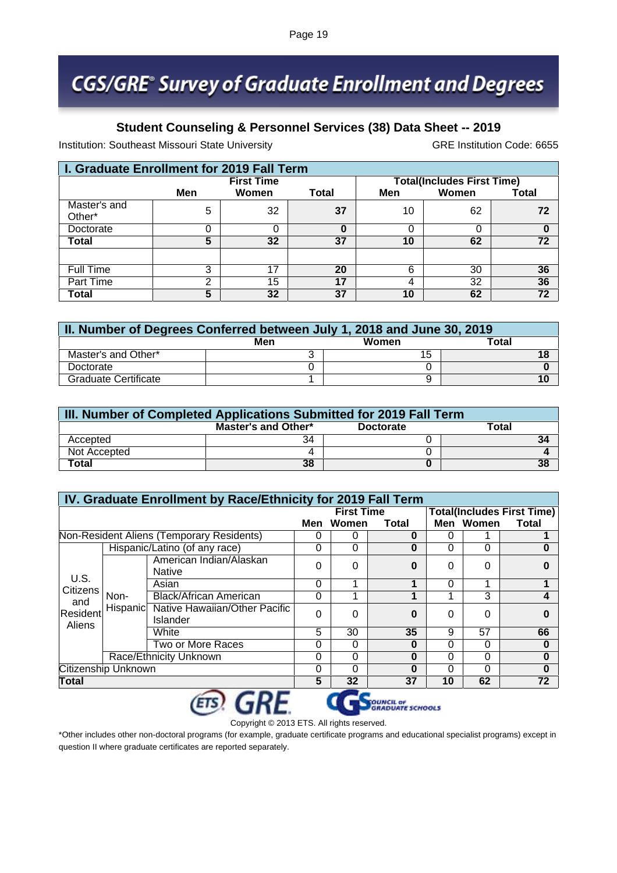#### **Student Counseling & Personnel Services (38) Data Sheet -- 2019**

Institution: Southeast Missouri State University GRE Institution Code: 6655

| I. Graduate Enrollment for 2019 Fall Term |     |                   |                 |     |                                   |       |  |  |  |  |
|-------------------------------------------|-----|-------------------|-----------------|-----|-----------------------------------|-------|--|--|--|--|
|                                           |     | <b>First Time</b> |                 |     | <b>Total(Includes First Time)</b> |       |  |  |  |  |
|                                           | Men | Women             | Total           | Men | Women                             | Total |  |  |  |  |
| Master's and<br>Other*                    | 5   | 32                | 37              | 10  | 62                                | 72    |  |  |  |  |
| Doctorate                                 | 0   | 0                 | 0               |     |                                   |       |  |  |  |  |
| Total                                     | 5   | 32                | 37              | 10  | 62                                | 72    |  |  |  |  |
|                                           |     |                   |                 |     |                                   |       |  |  |  |  |
| <b>Full Time</b>                          | 3   | 17                | 20              | 6   | 30                                | 36    |  |  |  |  |
| Part Time                                 | າ   | 15                | 17              |     | 32                                | 36    |  |  |  |  |
| Total                                     | 5   | 32                | $\overline{37}$ | 10  | 62                                | 72    |  |  |  |  |

| II. Number of Degrees Conferred between July 1, 2018 and June 30, 2019 |     |              |       |  |  |  |  |  |  |
|------------------------------------------------------------------------|-----|--------------|-------|--|--|--|--|--|--|
|                                                                        | Men | <b>Women</b> | Total |  |  |  |  |  |  |
| Master's and Other*                                                    |     |              |       |  |  |  |  |  |  |
| Doctorate                                                              |     |              |       |  |  |  |  |  |  |
| <b>Graduate Certificate</b>                                            |     |              |       |  |  |  |  |  |  |

| III. Number of Completed Applications Submitted for 2019 Fall Term |                     |                  |       |  |  |  |  |  |
|--------------------------------------------------------------------|---------------------|------------------|-------|--|--|--|--|--|
|                                                                    | Master's and Other* | <b>Doctorate</b> | Гоtal |  |  |  |  |  |
| Accepted                                                           | 34                  |                  | 34    |  |  |  |  |  |
| Not Accepted                                                       |                     |                  |       |  |  |  |  |  |
| Total                                                              | 38                  |                  | 38    |  |  |  |  |  |

| IV. Graduate Enrollment by Race/Ethnicity for 2019 Fall Term |      |                                                    |                                                        |       |       |    |           |              |  |
|--------------------------------------------------------------|------|----------------------------------------------------|--------------------------------------------------------|-------|-------|----|-----------|--------------|--|
|                                                              |      |                                                    | <b>Total(Includes First Time)</b><br><b>First Time</b> |       |       |    |           |              |  |
|                                                              |      |                                                    | Men                                                    | Women | Total |    | Men Women | <b>Total</b> |  |
|                                                              |      | Non-Resident Aliens (Temporary Residents)          | O                                                      | 0     | 0     | 0  |           |              |  |
|                                                              |      | Hispanic/Latino (of any race)                      | $\Omega$                                               | 0     | 0     | 0  | 0         | 0            |  |
|                                                              |      | American Indian/Alaskan<br><b>Native</b>           | $\Omega$                                               | 0     | 0     | 0  | 0         |              |  |
| U.S.<br>Citizens                                             |      | Asian                                              | $\Omega$                                               |       |       | 0  |           |              |  |
| and                                                          | Non- | <b>Black/African American</b>                      | 0                                                      |       |       | 1  | 3         | 4            |  |
| Resident<br>Aliens                                           |      | Hispanic Native Hawaiian/Other Pacific<br>Islander | 0                                                      | 0     | 0     | 0  | 0         |              |  |
|                                                              |      | White                                              | 5                                                      | 30    | 35    | 9  | 57        | 66           |  |
|                                                              |      | Two or More Races                                  | $\Omega$                                               | 0     | 0     | 0  | 0         | $\bf{0}$     |  |
|                                                              |      | Race/Ethnicity Unknown                             | 0                                                      | 0     | O     | 0  | 0         | $\bf{0}$     |  |
| Citizenship Unknown                                          |      |                                                    | $\Omega$                                               | 0     | 0     | 0  | 0         | $\bf{0}$     |  |
| Total                                                        |      |                                                    | 5                                                      | 32    | 37    | 10 | 62        | 72           |  |

**ETS** GRE



Copyright © 2013 ETS. All rights reserved.

\*Other includes other non-doctoral programs (for example, graduate certificate programs and educational specialist programs) except in question II where graduate certificates are reported separately.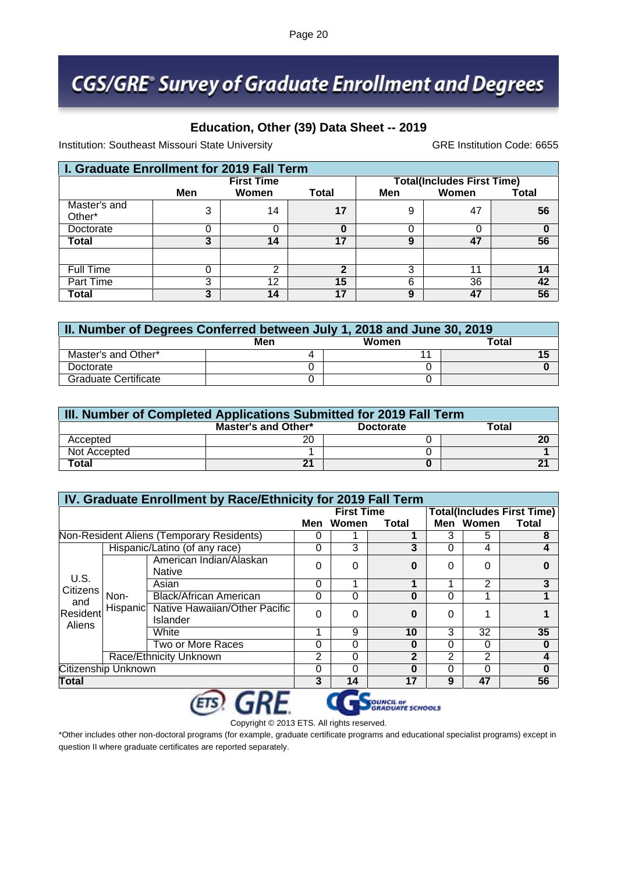### **CGS/GRE® Survey of Graduate Enrollment and Degrees**

#### **Education, Other (39) Data Sheet -- 2019**

Institution: Southeast Missouri State University GRE Institution Code: 6655

| I. Graduate Enrollment for 2019 Fall Term |     |                   |       |     |                                   |       |  |  |  |
|-------------------------------------------|-----|-------------------|-------|-----|-----------------------------------|-------|--|--|--|
|                                           |     | <b>First Time</b> |       |     | <b>Total(Includes First Time)</b> |       |  |  |  |
|                                           | Men | Women             | Total | Men | Women                             | Total |  |  |  |
| Master's and<br>Other*                    | 3   | 14                | 17    | 9   | 47                                | 56    |  |  |  |
| Doctorate                                 | 0   | 0                 | 0     |     |                                   |       |  |  |  |
| Total                                     | 3   | 14                | 17    | 9   | 47                                | 56    |  |  |  |
|                                           |     |                   |       |     |                                   |       |  |  |  |
| <b>Full Time</b>                          | 0   | 2                 | າ     | 3   | 11                                | 14    |  |  |  |
| Part Time                                 | 3   | 12                | 15    | 6   | 36                                | 42    |  |  |  |
| Total                                     | 3   | 14                | 17    | 9   | 47                                | 56    |  |  |  |

| II. Number of Degrees Conferred between July 1, 2018 and June 30, 2019 |     |       |       |  |  |  |  |  |  |
|------------------------------------------------------------------------|-----|-------|-------|--|--|--|--|--|--|
|                                                                        | Men | Women | Total |  |  |  |  |  |  |
| Master's and Other*                                                    |     |       |       |  |  |  |  |  |  |
| Doctorate                                                              |     |       |       |  |  |  |  |  |  |
| <b>Graduate Certificate</b>                                            |     |       |       |  |  |  |  |  |  |

| III. Number of Completed Applications Submitted for 2019 Fall Term |    |  |    |  |  |  |  |  |
|--------------------------------------------------------------------|----|--|----|--|--|--|--|--|
| Total<br>Master's and Other*<br><b>Doctorate</b>                   |    |  |    |  |  |  |  |  |
| Accepted                                                           | 20 |  | 20 |  |  |  |  |  |
| Not Accepted                                                       |    |  |    |  |  |  |  |  |
| Total                                                              |    |  |    |  |  |  |  |  |

| IV. Graduate Enrollment by Race/Ethnicity for 2019 Fall Term |                        |                                                    |          |          |       |   |           |              |  |
|--------------------------------------------------------------|------------------------|----------------------------------------------------|----------|----------|-------|---|-----------|--------------|--|
| <b>Total(Includes First Time)</b><br><b>First Time</b>       |                        |                                                    |          |          |       |   |           |              |  |
|                                                              |                        |                                                    | Men      | Women    | Total |   | Men Women | <b>Total</b> |  |
|                                                              |                        | Non-Resident Aliens (Temporary Residents)          | O        |          |       | 3 | 5         | 8            |  |
|                                                              |                        | Hispanic/Latino (of any race)                      | $\Omega$ | 3        | 3     | 0 | 4         | 4            |  |
|                                                              |                        | American Indian/Alaskan<br><b>Native</b>           | $\Omega$ | 0        | 0     | 0 | 0         |              |  |
| U.S.<br>Citizens                                             |                        | Asian                                              | $\Omega$ | 1        |       |   | 2         | 3            |  |
| and                                                          | Non-                   | <b>Black/African American</b>                      | 0        | 0        | 0     | 0 |           |              |  |
| Resident<br>Aliens                                           |                        | Hispanic Native Hawaiian/Other Pacific<br>Islander | $\Omega$ | 0        | 0     | 0 |           |              |  |
|                                                              |                        | White                                              |          | 9        | 10    | 3 | 32        | 35           |  |
|                                                              |                        | Two or More Races                                  | $\Omega$ | 0        | 0     | 0 | 0         | $\bf{0}$     |  |
|                                                              | Race/Ethnicity Unknown |                                                    | 2        | 0        | 2     | 2 | 2         | 4            |  |
|                                                              | Citizenship Unknown    | 0<br>0<br>0<br>$\Omega$<br>0                       |          | $\bf{0}$ |       |   |           |              |  |
| Total                                                        |                        |                                                    | 3        | 14       | 17    | 9 | 47        | 56           |  |

**ETS** GRE



Copyright © 2013 ETS. All rights reserved.

\*Other includes other non-doctoral programs (for example, graduate certificate programs and educational specialist programs) except in question II where graduate certificates are reported separately.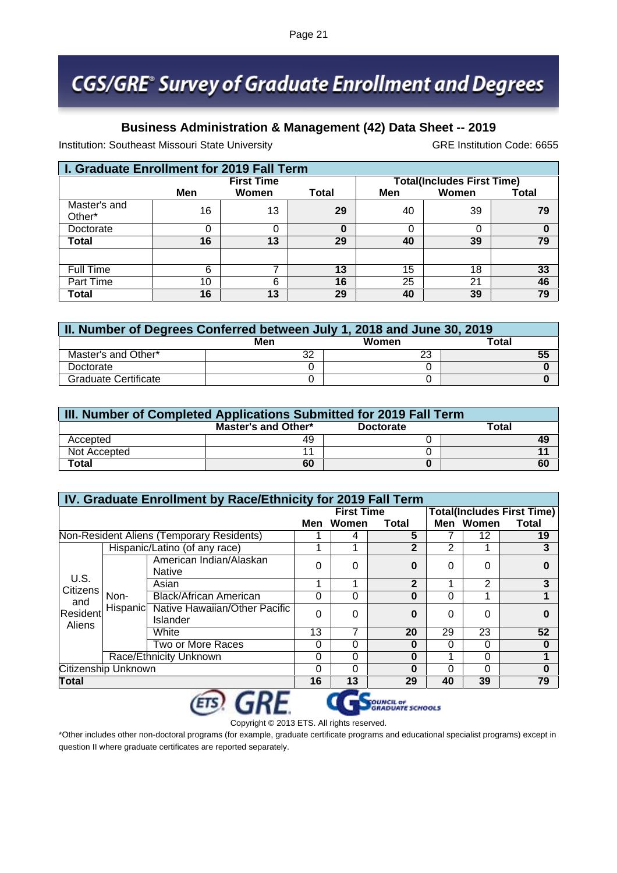### **Business Administration & Management (42) Data Sheet -- 2019**

Institution: Southeast Missouri State University GRE Institution Code: 6655

| I. Graduate Enrollment for 2019 Fall Term |     |                   |          |     |                                   |       |  |  |  |  |
|-------------------------------------------|-----|-------------------|----------|-----|-----------------------------------|-------|--|--|--|--|
|                                           |     | <b>First Time</b> |          |     | <b>Total(Includes First Time)</b> |       |  |  |  |  |
|                                           | Men | Women             | Total    | Men | Women                             | Total |  |  |  |  |
| Master's and<br>Other*                    | 16  | 13                | 29       | 40  | 39                                | 79    |  |  |  |  |
| Doctorate                                 | 0   | ი                 | $\bf{0}$ | C   |                                   |       |  |  |  |  |
| Total                                     | 16  | 13                | 29       | 40  | 39                                | 79    |  |  |  |  |
|                                           |     |                   |          |     |                                   |       |  |  |  |  |
| <b>Full Time</b>                          | 6   | ⇁                 | 13       | 15  | 18                                | 33    |  |  |  |  |
| Part Time                                 | 10  | 6                 | 16       | 25  | 21                                | 46    |  |  |  |  |
| Total                                     | 16  | 13                | 29       | 40  | 39                                | 79    |  |  |  |  |

| II. Number of Degrees Conferred between July 1, 2018 and June 30, 2019 |     |        |       |  |  |  |  |  |
|------------------------------------------------------------------------|-----|--------|-------|--|--|--|--|--|
|                                                                        | Men | Women  | Total |  |  |  |  |  |
| Master's and Other*                                                    | 32  | $\sim$ |       |  |  |  |  |  |
| Doctorate                                                              |     |        |       |  |  |  |  |  |
| <b>Graduate Certificate</b>                                            |     |        |       |  |  |  |  |  |

| III. Number of Completed Applications Submitted for 2019 Fall Term |    |  |    |  |  |  |  |  |
|--------------------------------------------------------------------|----|--|----|--|--|--|--|--|
| Total<br>Master's and Other*<br><b>Doctorate</b>                   |    |  |    |  |  |  |  |  |
| Accepted                                                           | 49 |  | 49 |  |  |  |  |  |
| Not Accepted                                                       |    |  |    |  |  |  |  |  |
| Total                                                              | 60 |  | 60 |  |  |  |  |  |

| IV. Graduate Enrollment by Race/Ethnicity for 2019 Fall Term |                        |                                                    |          |       |              |        |           |              |  |
|--------------------------------------------------------------|------------------------|----------------------------------------------------|----------|-------|--------------|--------|-----------|--------------|--|
| <b>Total(Includes First Time)</b><br><b>First Time</b>       |                        |                                                    |          |       |              |        |           |              |  |
|                                                              |                        |                                                    | Men      | Women | Total        |        | Men Women | <b>Total</b> |  |
|                                                              |                        | Non-Resident Aliens (Temporary Residents)          |          | 4     | 5            |        | 12        | 19           |  |
|                                                              |                        | Hispanic/Latino (of any race)                      |          | 4     | 2            | 2      | 4         | 3            |  |
|                                                              |                        | American Indian/Alaskan<br><b>Native</b>           | $\Omega$ | 0     | 0            | 0      | 0         |              |  |
| U.S.<br>Citizens                                             |                        | Asian                                              |          | 1     | $\mathbf{2}$ |        | 2         | 3            |  |
| and                                                          | Non-                   | <b>Black/African American</b>                      | 0        | 0     | 0            | 0      |           |              |  |
| Resident<br>Aliens                                           |                        | Hispanic Native Hawaiian/Other Pacific<br>Islander | $\Omega$ | 0     | 0            | 0      | 0         |              |  |
|                                                              |                        | White                                              | 13       | 7     | 20           | 29     | 23        | 52           |  |
|                                                              |                        | Two or More Races                                  | $\Omega$ | 0     | 0            | 0      | 0         | $\bf{0}$     |  |
|                                                              | Race/Ethnicity Unknown |                                                    | $\Omega$ | 0     | O            | 4      | 0         |              |  |
|                                                              | Citizenship Unknown    |                                                    | $\Omega$ | 0     | 0            | 0<br>0 |           | $\bf{0}$     |  |
| Total                                                        |                        |                                                    | 16       | 13    | 29           | 40     | 39        | 79           |  |

**ETS** GRE Copyright © 2013 ETS. All rights reserved.

\*Other includes other non-doctoral programs (for example, graduate certificate programs and educational specialist programs) except in question II where graduate certificates are reported separately.

SQUINCIL OF<br>CRADUATE SCHOOLS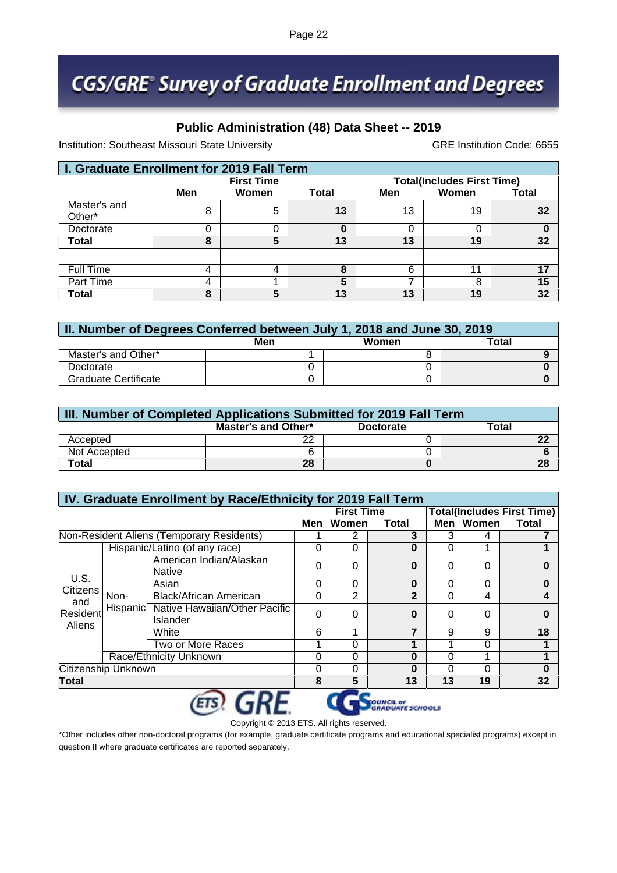### **CGS/GRE® Survey of Graduate Enrollment and Degrees**

#### **Public Administration (48) Data Sheet -- 2019**

Institution: Southeast Missouri State University GRE Institution Code: 6655

| I. Graduate Enrollment for 2019 Fall Term |     |                   |       |     |                                   |       |  |  |  |  |
|-------------------------------------------|-----|-------------------|-------|-----|-----------------------------------|-------|--|--|--|--|
|                                           |     | <b>First Time</b> |       |     | <b>Total(Includes First Time)</b> |       |  |  |  |  |
|                                           | Men | Women             | Total | Men | Women                             | Total |  |  |  |  |
| Master's and<br>Other*                    | 8   | 5                 | 13    | 13  | 19                                | 32    |  |  |  |  |
| Doctorate                                 |     |                   | 0     |     |                                   |       |  |  |  |  |
| Total                                     | 8   | 5                 | 13    | 13  | 19                                | 32    |  |  |  |  |
|                                           |     |                   |       |     |                                   |       |  |  |  |  |
| <b>Full Time</b>                          | 4   | 4                 | 8     | 6   | 11                                | 17    |  |  |  |  |
| Part Time                                 | 4   |                   | 5     |     | 8                                 | 15    |  |  |  |  |
| Total                                     | 8   | 5                 | 13    | 13  | 19                                | 32    |  |  |  |  |

| II. Number of Degrees Conferred between July 1, 2018 and June 30, 2019 |     |       |       |  |  |  |  |  |  |
|------------------------------------------------------------------------|-----|-------|-------|--|--|--|--|--|--|
|                                                                        | Men | Women | Total |  |  |  |  |  |  |
| Master's and Other*                                                    |     |       |       |  |  |  |  |  |  |
| Doctorate                                                              |     |       |       |  |  |  |  |  |  |
| <b>Graduate Certificate</b>                                            |     |       |       |  |  |  |  |  |  |

| III. Number of Completed Applications Submitted for 2019 Fall Term |                     |                  |       |  |  |  |  |  |
|--------------------------------------------------------------------|---------------------|------------------|-------|--|--|--|--|--|
|                                                                    | Master's and Other* | <b>Doctorate</b> | Total |  |  |  |  |  |
| Accepted                                                           | າາ                  |                  | 22    |  |  |  |  |  |
| Not Accepted                                                       |                     |                  |       |  |  |  |  |  |
| Total                                                              | 28                  |                  | 28    |  |  |  |  |  |

|                    | IV. Graduate Enrollment by Race/Ethnicity for 2019 Fall Term |                                                    |          |          |              |    |                                   |              |  |  |
|--------------------|--------------------------------------------------------------|----------------------------------------------------|----------|----------|--------------|----|-----------------------------------|--------------|--|--|
| <b>First Time</b>  |                                                              |                                                    |          |          |              |    | <b>Total(Includes First Time)</b> |              |  |  |
|                    |                                                              |                                                    | Men      | Women    | Total        |    | Men Women                         | <b>Total</b> |  |  |
|                    |                                                              | Non-Resident Aliens (Temporary Residents)          |          | 2        | 3            | 3  | 4                                 |              |  |  |
|                    |                                                              | Hispanic/Latino (of any race)                      | 0        | 0        | 0            | 0  | 1                                 |              |  |  |
|                    |                                                              | American Indian/Alaskan<br><b>Native</b>           | $\Omega$ | 0        | 0            | 0  | 0                                 |              |  |  |
| U.S.<br>Citizens   |                                                              | Asian                                              | $\Omega$ | $\Omega$ | 0            | 0  | 0                                 | $\bf{0}$     |  |  |
| and                | Non-                                                         | <b>Black/African American</b>                      | 0        | 2        | $\mathbf{2}$ | 0  | 4                                 | 4            |  |  |
| Resident<br>Aliens |                                                              | Hispanic Native Hawaiian/Other Pacific<br>Islander | 0        | 0        | 0            | 0  | 0                                 |              |  |  |
|                    |                                                              | White                                              | 6        | 4        |              | 9  | 9                                 | 18           |  |  |
|                    |                                                              | Two or More Races                                  |          | 0        |              | 1  | 0                                 |              |  |  |
|                    | Race/Ethnicity Unknown                                       |                                                    | 0        | 0        | O            | 0  | 1                                 |              |  |  |
|                    | Citizenship Unknown<br>0<br>0<br>$\Omega$<br>0<br>0          |                                                    | $\bf{0}$ |          |              |    |                                   |              |  |  |
| Total              |                                                              |                                                    | 8        | 5        | 13           | 13 | 19                                | 32           |  |  |
|                    |                                                              |                                                    |          |          |              |    |                                   |              |  |  |

Copyright © 2013 ETS. All rights reserved. \*Other includes other non-doctoral programs (for example, graduate certificate programs and educational specialist programs) except in question II where graduate certificates are reported separately.

**SOUNCIL OF**<br>GRADUATE SCHOOLS